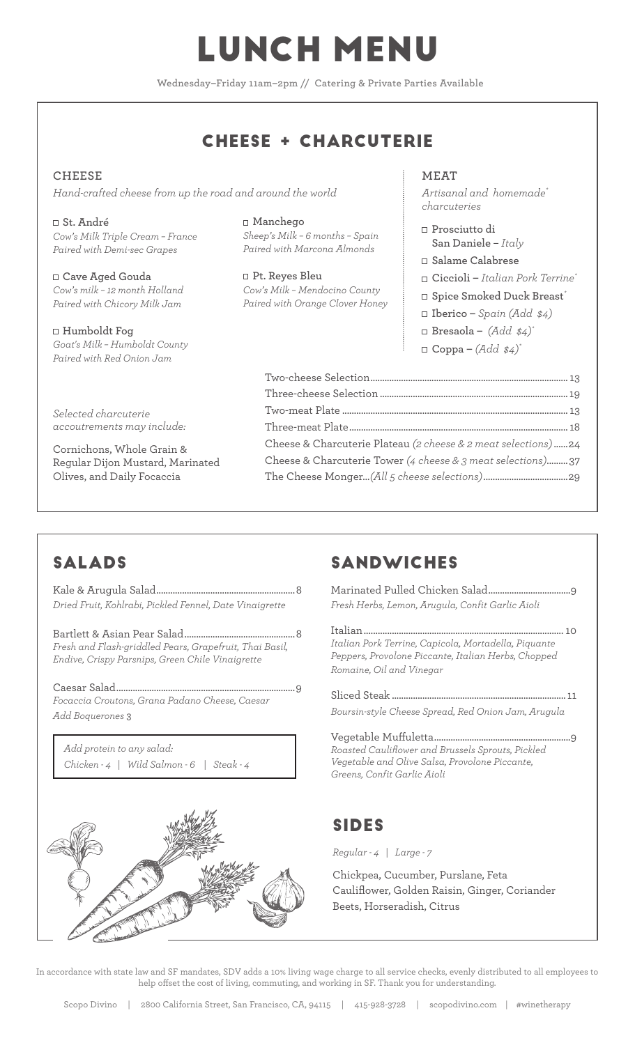## LUNCH MENU

**Wednesday–Friday 11am–2pm // Catering & Private Parties Available**

#### CHEESE + CHARCUTERIE

#### **CHEESE**  *Hand-crafted cheese from up the road and around the world*

**St. André** *Cow's Milk Triple Cream – France Paired with Demi-sec Grapes*

**Cave Aged Gouda**  *Cow's milk – 12 month Holland Paired with Chicory Milk Jam*

**Humboldt Fog** *Goat's Milk – Humboldt County Paired with Red Onion Jam*

*Selected charcuterie accoutrements may include:*

Cornichons, Whole Grain & Regular Dijon Mustard, Marinated Olives, and Daily Focaccia

#### **Manchego**

*Sheep's Milk – 6 months – Spain Paired with Marcona Almonds*

**Pt. Reyes Bleu** *Cow's Milk – Mendocino County Paired with Orange Clover Honey* **MEAT** 

*Artisanal and homemade\* charcuteries*

- **Prosciutto di San Daniele** – *Italy*
- **Salame Calabrese**
- **Ciccioli** *Italian Pork Terrine\**
- **Spice Smoked Duck Breast***\**
- **Iberico** *Spain (Add \$4)*
- **Bresaola** *(Add \$4)\**
- $\Box$  **Coppa**  $(Add \, \, \$4)^*$

| Cheese & Charcuterie Plateau (2 cheese & 2 meat selections)24 |  |
|---------------------------------------------------------------|--|
| Cheese & Charcuterie Tower (4 cheese & 3 meat selections)37   |  |
|                                                               |  |
|                                                               |  |

## SALADS

Kale & Arugula Salad...........................................................8 *Dried Fruit, Kohlrabi, Pickled Fennel, Date Vinaigrette*

Bartlett & Asian Pear Salad...............................................8 *Fresh and Flash-griddled Pears, Grapefruit, Thai Basil, Endive, Crispy Parsnips, Green Chile Vinaigrette*

Caesar Salad............................................................................9 *Focaccia Croutons, Grana Padano Cheese, Caesar Add Boquerones* 3

*Add protein to any salad: Chicken - 4 | Wild Salmon - 6 | Steak - 4*



## SANDWICHES

Marinated Pulled Chicken Salad...................................9 *Fresh Herbs, Lemon, Arugula, Confit Garlic Aioli*

Italian..................................................................................... 10 *Italian Pork Terrine, Capicola, Mortadella, Piquante Peppers, Provolone Piccante, Italian Herbs, Chopped Romaine, Oil and Vinegar*

Sliced Steak .......................................................................... 11 *Boursin-style Cheese Spread, Red Onion Jam, Arugula*

Vegetable Muffuletta................. *Roasted Cauliflower and Brussels Sprouts, Pickled Vegetable and Olive Salsa, Provolone Piccante, Greens, Confit Garlic Aioli*

#### SIDES

*Regular - 4 | Large - 7* 

Chickpea, Cucumber, Purslane, Feta Cauliflower, Golden Raisin, Ginger, Coriander Beets, Horseradish, Citrus

In accordance with state law and SF mandates, SDV adds a 10% living wage charge to all service checks, evenly distributed to all employees to help offset the cost of living, commuting, and working in SF. Thank you for understanding.